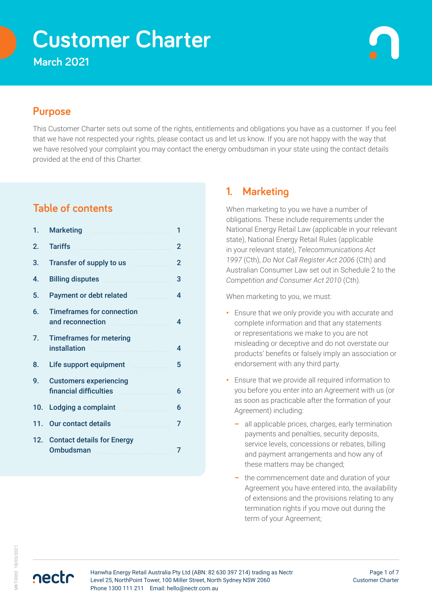# **Customer Charter**

**March 2021**

# **Purpose**

This Customer Charter sets out some of the rights, entitlements and obligations you have as a customer. If you feel that we have not respected your rights, please contact us and let us know. If you are not happy with the way that we have resolved your complaint you may contact the energy ombudsman in your state using the contact details provided at the end of this Charter.

# **Table of contents**

| 1.               | <b>Marketing</b>                                        | 1 |
|------------------|---------------------------------------------------------|---|
| 2.               | <b>Tariffs</b>                                          | 2 |
| 3.               |                                                         | 2 |
| 4.               | <b>Billing disputes</b>                                 | 3 |
| 5.               | <b>Payment or debt related</b>                          | 4 |
| 6.               | <b>Timeframes for connection</b><br>and reconnection    | 4 |
| $\overline{7}$ . | <b>Timeframes for metering</b><br>installation          | 4 |
| 8.               | Life support equipment                                  | 5 |
| 9.               | <b>Customers experiencing</b><br>financial difficulties | 6 |
| 10.              | Lodging a complaint                                     | 6 |
| 11.              | Our contact details                                     | 7 |
| 12 <sup>1</sup>  | <b>Contact details for Energy</b><br>Ombudsman          |   |

# **1. Marketing**

When marketing to you we have a number of obligations. These include requirements under the National Energy Retail Law (applicable in your relevant state), National Energy Retail Rules (applicable in your relevant state), *Telecommunications Act 1997* (Cth), *Do Not Call Register Act 2006* (Cth) and Australian Consumer Law set out in Schedule 2 to the *Competition and Consumer Act 2010* (Cth).

When marketing to you, we must:

- **•** Ensure that we only provide you with accurate and complete information and that any statements or representations we make to you are not misleading or deceptive and do not overstate our products' benefits or falsely imply an association or endorsement with any third party.
- **•** Ensure that we provide all required information to you before you enter into an Agreement with us (or as soon as practicable after the formation of your Agreement) including:
	- **–** all applicable prices, charges, early termination payments and penalties, security deposits, service levels, concessions or rebates, billing and payment arrangements and how any of these matters may be changed;
	- **–** the commencement date and duration of your Agreement you have entered into, the availability of extensions and the provisions relating to any termination rights if you move out during the term of your Agreement;

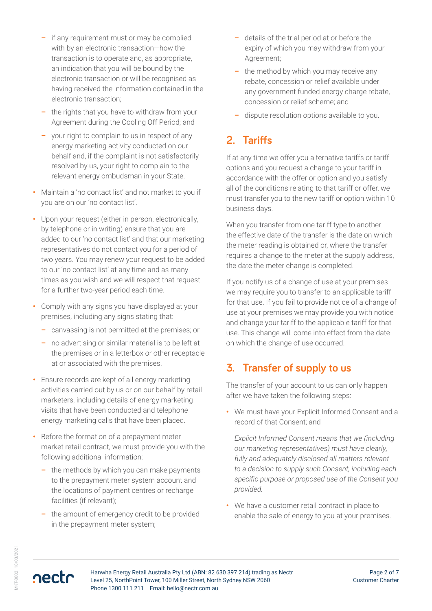- <span id="page-1-0"></span>**–** if any requirement must or may be complied with by an electronic transaction—how the transaction is to operate and, as appropriate, an indication that you will be bound by the electronic transaction or will be recognised as having received the information contained in the electronic transaction;
- **–** the rights that you have to withdraw from your Agreement during the Cooling Off Period; and
- **–** your right to complain to us in respect of any energy marketing activity conducted on our behalf and, if the complaint is not satisfactorily resolved by us, your right to complain to the relevant energy ombudsman in your State.
- **•** Maintain a 'no contact list' and not market to you if you are on our 'no contact list'.
- **•** Upon your request (either in person, electronically, by telephone or in writing) ensure that you are added to our 'no contact list' and that our marketing representatives do not contact you for a period of two years. You may renew your request to be added to our 'no contact list' at any time and as many times as you wish and we will respect that request for a further two-year period each time.
- **•** Comply with any signs you have displayed at your premises, including any signs stating that:
	- **–** canvassing is not permitted at the premises; or
	- **–** no advertising or similar material is to be left at the premises or in a letterbox or other receptacle at or associated with the premises.
- **•** Ensure records are kept of all energy marketing activities carried out by us or on our behalf by retail marketers, including details of energy marketing visits that have been conducted and telephone energy marketing calls that have been placed.
- **•** Before the formation of a prepayment meter market retail contract, we must provide you with the following additional information:
	- **–** the methods by which you can make payments to the prepayment meter system account and the locations of payment centres or recharge facilities (if relevant);
	- **–** the amount of emergency credit to be provided in the prepayment meter system;
- **–** details of the trial period at or before the expiry of which you may withdraw from your Agreement;
- **–** the method by which you may receive any rebate, concession or relief available under any government funded energy charge rebate, concession or relief scheme; and
- **–** dispute resolution options available to you.

# **2. Tariffs**

If at any time we offer you alternative tariffs or tariff options and you request a change to your tariff in accordance with the offer or option and you satisfy all of the conditions relating to that tariff or offer, we must transfer you to the new tariff or option within 10 business days.

When you transfer from one tariff type to another the effective date of the transfer is the date on which the meter reading is obtained or, where the transfer requires a change to the meter at the supply address, the date the meter change is completed.

If you notify us of a change of use at your premises we may require you to transfer to an applicable tariff for that use. If you fail to provide notice of a change of use at your premises we may provide you with notice and change your tariff to the applicable tariff for that use. This change will come into effect from the date on which the change of use occurred.

# **3. Transfer of supply to us**

The transfer of your account to us can only happen after we have taken the following steps:

**•** We must have your Explicit Informed Consent and a record of that Consent; and

*Explicit Informed Consent means that we (including our marketing representatives) must have clearly, fully and adequately disclosed all matters relevant to a decision to supply such Consent, including each specific purpose or proposed use of the Consent you provided.* 

**•** We have a customer retail contract in place to enable the sale of energy to you at your premises.

nectr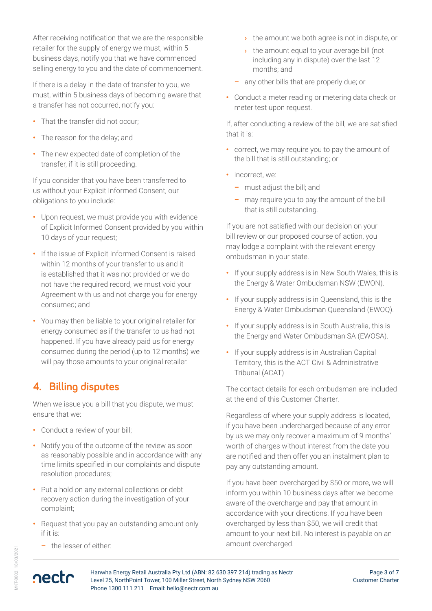<span id="page-2-0"></span>After receiving notification that we are the responsible retailer for the supply of energy we must, within 5 business days, notify you that we have commenced selling energy to you and the date of commencement.

If there is a delay in the date of transfer to you, we must, within 5 business days of becoming aware that a transfer has not occurred, notify you:

- **•** That the transfer did not occur;
- **•** The reason for the delay; and
- **•** The new expected date of completion of the transfer, if it is still proceeding.

If you consider that you have been transferred to us without your Explicit Informed Consent, our obligations to you include:

- **•** Upon request, we must provide you with evidence of Explicit Informed Consent provided by you within 10 days of your request;
- **•** If the issue of Explicit Informed Consent is raised within 12 months of your transfer to us and it is established that it was not provided or we do not have the required record, we must void your Agreement with us and not charge you for energy consumed; and
- **•** You may then be liable to your original retailer for energy consumed as if the transfer to us had not happened. If you have already paid us for energy consumed during the period (up to 12 months) we will pay those amounts to your original retailer.

# **4. Billing disputes**

When we issue you a bill that you dispute, we must ensure that we:

- **•** Conduct a review of your bill;
- **•** Notify you of the outcome of the review as soon as reasonably possible and in accordance with any time limits specified in our complaints and dispute resolution procedures;
- **•** Put a hold on any external collections or debt recovery action during the investigation of your complaint;
- **•** Request that you pay an outstanding amount only if it is:
	- **–** the lesser of either:

nectr

- **›** the amount we both agree is not in dispute, or
- **›** the amount equal to your average bill (not including any in dispute) over the last 12 months; and
- **–** any other bills that are properly due; or
- **•** Conduct a meter reading or metering data check or meter test upon request.

If, after conducting a review of the bill, we are satisfied that it is:

- **•** correct, we may require you to pay the amount of the bill that is still outstanding; or
- incorrect, we:
	- **–** must adjust the bill; and
	- **–** may require you to pay the amount of the bill that is still outstanding.

If you are not satisfied with our decision on your bill review or our proposed course of action, you may lodge a complaint with the relevant energy ombudsman in your state.

- **•** If your supply address is in New South Wales, this is the Energy & Water Ombudsman NSW (EWON).
- **•** If your supply address is in Queensland, this is the Energy & Water Ombudsman Queensland (EWOQ).
- **•** If your supply address is in South Australia, this is the Energy and Water Ombudsman SA (EWOSA).
- **•** If your supply address is in Australian Capital Territory, this is the ACT Civil & Administrative Tribunal (ACAT)

The contact details for each ombudsman are included at the end of this Customer Charter.

Regardless of where your supply address is located, if you have been undercharged because of any error by us we may only recover a maximum of 9 months' worth of charges without interest from the date you are notified and then offer you an instalment plan to pay any outstanding amount.

If you have been overcharged by \$50 or more, we will inform you within 10 business days after we become aware of the overcharge and pay that amount in accordance with your directions. If you have been overcharged by less than \$50, we will credit that amount to your next bill. No interest is payable on an amount overcharged.

MKT-0002 18/03/2021 **MKT-0002 18/03/2021**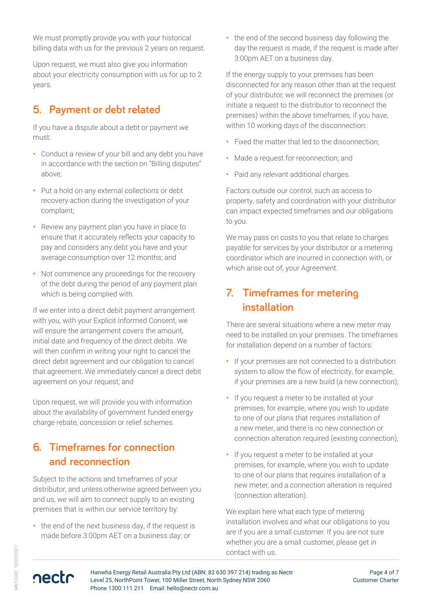<span id="page-3-0"></span>We must promptly provide you with your historical billing data with us for the previous 2 years on request.

Upon request, we must also give you information about your electricity consumption with us for up to 2 years.

# **5. Payment or debt related**

If you have a dispute about a debt or payment we must:

- **•** Conduct a review of your bill and any debt you have in accordance with the section on "Billing disputes" above;
- **•** Put a hold on any external collections or debt recovery action during the investigation of your complaint;
- **•** Review any payment plan you have in place to ensure that it accurately reflects your capacity to pay and considers any debt you have and your average consumption over 12 months; and
- **•** Not commence any proceedings for the recovery of the debt during the period of any payment plan which is being complied with.

If we enter into a direct debit payment arrangement with you, with your Explicit Informed Consent, we will ensure the arrangement covers the amount, initial date and frequency of the direct debits. We will then confirm in writing your right to cancel the direct debit agreement and our obligation to cancel that agreement. We immediately cancel a direct debit agreement on your request; and

Upon request, we will provide you with information about the availability of government funded energy charge rebate, concession or relief schemes.

# **6. Timeframes for connection and reconnection**

Subject to the actions and timeframes of your distributor, and unless otherwise agreed between you and us, we will aim to connect supply to an existing premises that is within our service territory by:

**•** the end of the next business day, if the request is made before 3:00pm AET on a business day; or

**•** the end of the second business day following the day the request is made, if the request is made after 3:00pm AET on a business day.

If the energy supply to your premises has been disconnected for any reason other than at the request of your distributor, we will reconnect the premises (or initiate a request to the distributor to reconnect the premises) within the above timeframes, if you have, within 10 working days of the disconnection:

- **•** Fixed the matter that led to the disconnection;
- **•** Made a request for reconnection; and
- **•** Paid any relevant additional charges.

Factors outside our control, such as access to property, safety and coordination with your distributor can impact expected timeframes and our obligations to you.

We may pass on costs to you that relate to charges payable for services by your distributor or a metering coordinator which are incurred in connection with, or which arise out of, your Agreement.

# **7. Timeframes for metering installation**

There are several situations where a new meter may need to be installed on your premises. The timeframes for installation depend on a number of factors:

- **•** If your premises are not connected to a distribution system to allow the flow of electricity, for example, if your premises are a new build (a new connection);
- **•** If you request a meter to be installed at your premises, for example, where you wish to update to one of our plans that requires installation of a new meter, and there is no new connection or connection alteration required (existing connection);
- **•** If you request a meter to be installed at your premises, for example, where you wish to update to one of our plans that requires installation of a new meter, and a connection alteration is required (connection alteration).

We explain here what each type of metering installation involves and what our obligations to you are if you are a small customer. If you are not sure whether you are a small customer, please get in contact with us.

/KT-0002 18/03/2021 MKT-0002 18/03/2021

nectr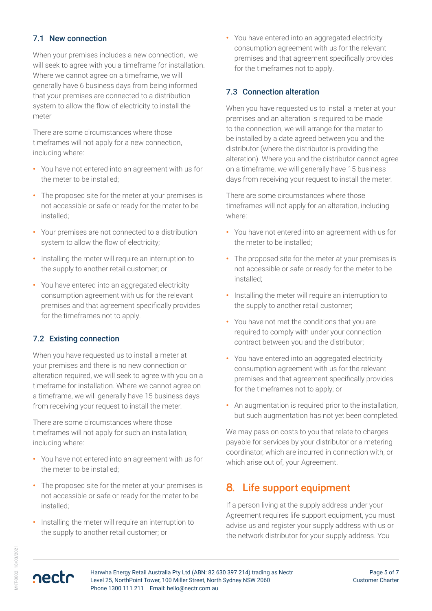### <span id="page-4-0"></span>7.1 New connection

When your premises includes a new connection, we will seek to agree with you a timeframe for installation. Where we cannot agree on a timeframe, we will generally have 6 business days from being informed that your premises are connected to a distribution system to allow the flow of electricity to install the meter

There are some circumstances where those timeframes will not apply for a new connection, including where:

- **•** You have not entered into an agreement with us for the meter to be installed;
- **•** The proposed site for the meter at your premises is not accessible or safe or ready for the meter to be installed;
- **•** Your premises are not connected to a distribution system to allow the flow of electricity;
- **•** Installing the meter will require an interruption to the supply to another retail customer; or
- **•** You have entered into an aggregated electricity consumption agreement with us for the relevant premises and that agreement specifically provides for the timeframes not to apply.

#### 7.2 Existing connection

When you have requested us to install a meter at your premises and there is no new connection or alteration required, we will seek to agree with you on a timeframe for installation. Where we cannot agree on a timeframe, we will generally have 15 business days from receiving your request to install the meter.

There are some circumstances where those timeframes will not apply for such an installation, including where:

- **•** You have not entered into an agreement with us for the meter to be installed;
- **•** The proposed site for the meter at your premises is not accessible or safe or ready for the meter to be installed;
- **•** Installing the meter will require an interruption to the supply to another retail customer; or

**•** You have entered into an aggregated electricity consumption agreement with us for the relevant premises and that agreement specifically provides for the timeframes not to apply.

### 7.3 Connection alteration

When you have requested us to install a meter at your premises and an alteration is required to be made to the connection, we will arrange for the meter to be installed by a date agreed between you and the distributor (where the distributor is providing the alteration). Where you and the distributor cannot agree on a timeframe, we will generally have 15 business days from receiving your request to install the meter.

There are some circumstances where those timeframes will not apply for an alteration, including where:

- **•** You have not entered into an agreement with us for the meter to be installed;
- **•** The proposed site for the meter at your premises is not accessible or safe or ready for the meter to be installed;
- **•** Installing the meter will require an interruption to the supply to another retail customer;
- **•** You have not met the conditions that you are required to comply with under your connection contract between you and the distributor;
- **•** You have entered into an aggregated electricity consumption agreement with us for the relevant premises and that agreement specifically provides for the timeframes not to apply; or
- **•** An augmentation is required prior to the installation, but such augmentation has not yet been completed.

We may pass on costs to you that relate to charges payable for services by your distributor or a metering coordinator, which are incurred in connection with, or which arise out of, your Agreement.

# **8. Life support equipment**

If a person living at the supply address under your Agreement requires life support equipment, you must advise us and register your supply address with us or the network distributor for your supply address. You

/KT-0002 18/03/2021 MKT-0002 18/03/2021

nectr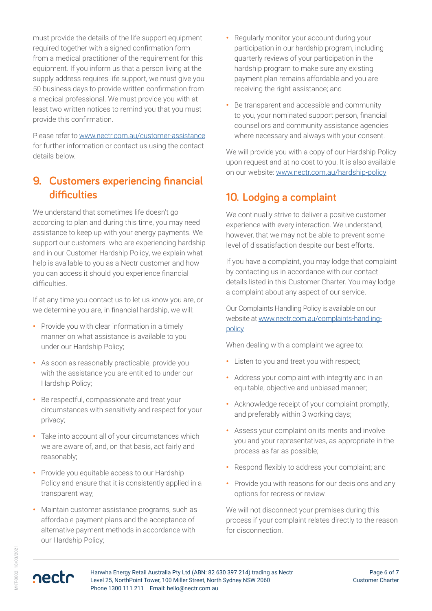<span id="page-5-0"></span>must provide the details of the life support equipment required together with a signed confirmation form from a medical practitioner of the requirement for this equipment. If you inform us that a person living at the supply address requires life support, we must give you 50 business days to provide written confirmation from a medical professional. We must provide you with at least two written notices to remind you that you must provide this confirmation.

Please refer to [www.nectr.com.au/customer-assistance](https://www.nectr.com.au/customer-assistance) for further information or contact us using the contact details below.

# **9. Customers experiencing financial difficulties**

We understand that sometimes life doesn't go according to plan and during this time, you may need assistance to keep up with your energy payments. We support our customers who are experiencing hardship and in our Customer Hardship Policy, we explain what help is available to you as a Nectr customer and how you can access it should you experience financial difficulties.

If at any time you contact us to let us know you are, or we determine you are, in financial hardship, we will:

- **•** Provide you with clear information in a timely manner on what assistance is available to you under our Hardship Policy;
- **•** As soon as reasonably practicable, provide you with the assistance you are entitled to under our Hardship Policy;
- **•** Be respectful, compassionate and treat your circumstances with sensitivity and respect for your privacy;
- **•** Take into account all of your circumstances which we are aware of, and, on that basis, act fairly and reasonably;
- **•** Provide you equitable access to our Hardship Policy and ensure that it is consistently applied in a transparent way;
- **•** Maintain customer assistance programs, such as affordable payment plans and the acceptance of alternative payment methods in accordance with our Hardship Policy;
- **•** Regularly monitor your account during your participation in our hardship program, including quarterly reviews of your participation in the hardship program to make sure any existing payment plan remains affordable and you are receiving the right assistance; and
- **•** Be transparent and accessible and community to you, your nominated support person, financial counsellors and community assistance agencies where necessary and always with your consent.

We will provide you with a copy of our Hardship Policy upon request and at no cost to you. It is also available on our website: [www.nectr.com.au/hardship-policy](https://www.nectr.com.au/hardship-policy)

# **10. Lodging a complaint**

We continually strive to deliver a positive customer experience with every interaction. We understand, however, that we may not be able to prevent some level of dissatisfaction despite our best efforts.

If you have a complaint, you may lodge that complaint by contacting us in accordance with our contact details listed in this Customer Charter. You may lodge a complaint about any aspect of our service.

Our Complaints Handling Policy is available on our website at [www.nectr.com.au/complaints-handling](https://www.nectr.com.au/complaints-handling-policy)[policy](https://www.nectr.com.au/complaints-handling-policy)

When dealing with a complaint we agree to:

- **•** Listen to you and treat you with respect;
- **•** Address your complaint with integrity and in an equitable, objective and unbiased manner;
- **•** Acknowledge receipt of your complaint promptly, and preferably within 3 working days;
- **•** Assess your complaint on its merits and involve you and your representatives, as appropriate in the process as far as possible;
- **•** Respond flexibly to address your complaint; and
- **•** Provide you with reasons for our decisions and any options for redress or review.

We will not disconnect your premises during this process if your complaint relates directly to the reason for disconnection.